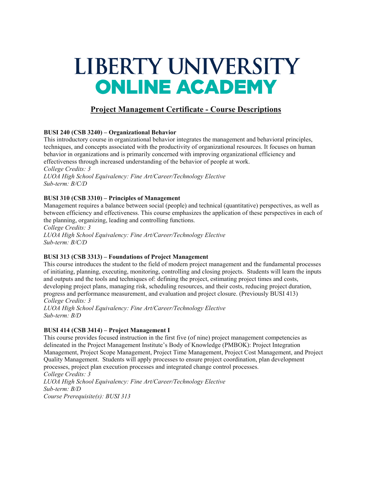# LIBERTY UNIVERSITY **ONLINE ACADEMY**

# **Project Management Certificate - Course Descriptions**

# **BUSI 240 (CSB 3240) – Organizational Behavior**

This introductory course in organizational behavior integrates the management and behavioral principles, techniques, and concepts associated with the productivity of organizational resources. It focuses on human behavior in organizations and is primarily concerned with improving organizational efficiency and effectiveness through increased understanding of the behavior of people at work.

*College Credits: 3 LUOA High School Equivalency: Fine Art/Career/Technology Elective Sub-term: B/C/D*

### **BUSI 310 (CSB 3310) – Principles of Management**

Management requires a balance between social (people) and technical (quantitative) perspectives, as well as between efficiency and effectiveness. This course emphasizes the application of these perspectives in each of the planning, organizing, leading and controlling functions.

*College Credits: 3 LUOA High School Equivalency: Fine Art/Career/Technology Elective Sub-term: B/C/D*

# **BUSI 313 (CSB 3313) – Foundations of Project Management**

This course introduces the student to the field of modern project management and the fundamental processes of initiating, planning, executing, monitoring, controlling and closing projects. Students will learn the inputs and outputs and the tools and techniques of: defining the project, estimating project times and costs, developing project plans, managing risk, scheduling resources, and their costs, reducing project duration, progress and performance measurement, and evaluation and project closure. (Previously BUSI 413) *College Credits: 3*

*LUOA High School Equivalency: Fine Art/Career/Technology Elective Sub-term: B/D*

#### **BUSI 414 (CSB 3414) – Project Management I**

This course provides focused instruction in the first five (of nine) project management competencies as delineated in the Project Management Institute's Body of Knowledge (PMBOK): Project Integration Management, Project Scope Management, Project Time Management, Project Cost Management, and Project Quality Management. Students will apply processes to ensure project coordination, plan development processes, project plan execution processes and integrated change control processes. *College Credits: 3*

*LUOA High School Equivalency: Fine Art/Career/Technology Elective Sub-term: B/D Course Prerequisite(s): BUSI 313*